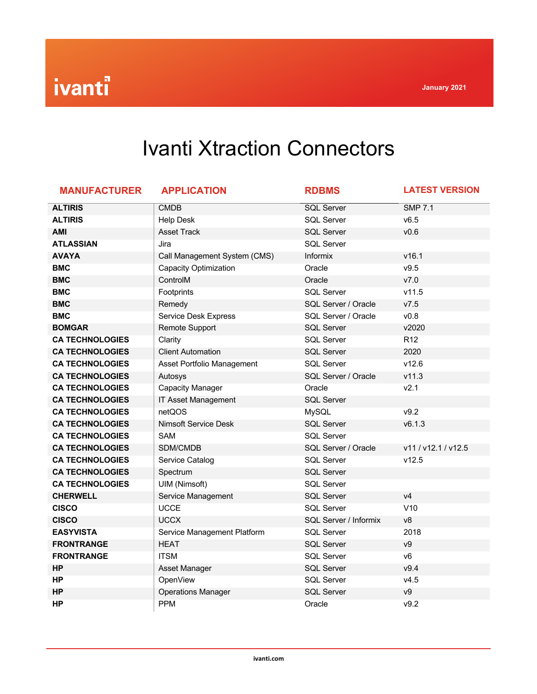## Ivanti Xtraction Connectors

| <b>MANUFACTURER</b>    | <b>APPLICATION</b>           | <b>RDBMS</b>          | <b>LATEST VERSION</b> |
|------------------------|------------------------------|-----------------------|-----------------------|
| <b>ALTIRIS</b>         | <b>CMDB</b>                  | <b>SQL Server</b>     | <b>SMP 7.1</b>        |
| <b>ALTIRIS</b>         | <b>Help Desk</b>             | <b>SQL Server</b>     | v6.5                  |
| <b>AMI</b>             | <b>Asset Track</b>           | <b>SQL Server</b>     | v0.6                  |
| <b>ATLASSIAN</b>       | Jira                         | <b>SQL Server</b>     |                       |
| <b>AVAYA</b>           | Call Management System (CMS) | Informix              | v16.1                 |
| <b>BMC</b>             | <b>Capacity Optimization</b> | Oracle                | v9.5                  |
| <b>BMC</b>             | ControlM                     | Oracle                | V7.0                  |
| <b>BMC</b>             | Footprints                   | <b>SQL Server</b>     | v11.5                 |
| <b>BMC</b>             | Remedy                       | SQL Server / Oracle   | V7.5                  |
| <b>BMC</b>             | <b>Service Desk Express</b>  | SQL Server / Oracle   | v0.8                  |
| <b>BOMGAR</b>          | Remote Support               | <b>SQL Server</b>     | v2020                 |
| <b>CA TECHNOLOGIES</b> | Clarity                      | <b>SQL Server</b>     | R <sub>12</sub>       |
| <b>CA TECHNOLOGIES</b> | <b>Client Automation</b>     | <b>SQL Server</b>     | 2020                  |
| <b>CA TECHNOLOGIES</b> | Asset Portfolio Management   | <b>SQL Server</b>     | v12.6                 |
| <b>CA TECHNOLOGIES</b> | Autosys                      | SQL Server / Oracle   | v11.3                 |
| <b>CA TECHNOLOGIES</b> | <b>Capacity Manager</b>      | Oracle                | v2.1                  |
| <b>CA TECHNOLOGIES</b> | IT Asset Management          | <b>SQL Server</b>     |                       |
| <b>CA TECHNOLOGIES</b> | netQOS                       | <b>MySQL</b>          | v9.2                  |
| <b>CA TECHNOLOGIES</b> | <b>Nimsoft Service Desk</b>  | <b>SQL Server</b>     | v6.1.3                |
| <b>CA TECHNOLOGIES</b> | <b>SAM</b>                   | <b>SQL Server</b>     |                       |
| <b>CA TECHNOLOGIES</b> | SDM/CMDB                     | SQL Server / Oracle   | v11 / v12.1 / v12.5   |
| <b>CA TECHNOLOGIES</b> | Service Catalog              | <b>SQL Server</b>     | v12.5                 |
| <b>CA TECHNOLOGIES</b> | Spectrum                     | <b>SQL Server</b>     |                       |
| <b>CA TECHNOLOGIES</b> | <b>UIM (Nimsoft)</b>         | <b>SQL Server</b>     |                       |
| <b>CHERWELL</b>        | Service Management           | <b>SQL Server</b>     | v4                    |
| <b>CISCO</b>           | <b>UCCE</b>                  | <b>SQL Server</b>     | V10                   |
| <b>CISCO</b>           | <b>UCCX</b>                  | SQL Server / Informix | v8                    |
| <b>EASYVISTA</b>       | Service Management Platform  | <b>SQL Server</b>     | 2018                  |
| <b>FRONTRANGE</b>      | <b>HEAT</b>                  | <b>SQL Server</b>     | V <sup>9</sup>        |
| <b>FRONTRANGE</b>      | <b>ITSM</b>                  | <b>SQL Server</b>     | V <sub>6</sub>        |
| <b>HP</b>              | Asset Manager                | <b>SQL Server</b>     | v9.4                  |
| <b>HP</b>              | <b>OpenView</b>              | <b>SQL Server</b>     | v4.5                  |
| <b>HP</b>              | <b>Operations Manager</b>    | <b>SQL Server</b>     | ${\vee}9$             |
| <b>HP</b>              | <b>PPM</b>                   | Oracle                | v9.2                  |